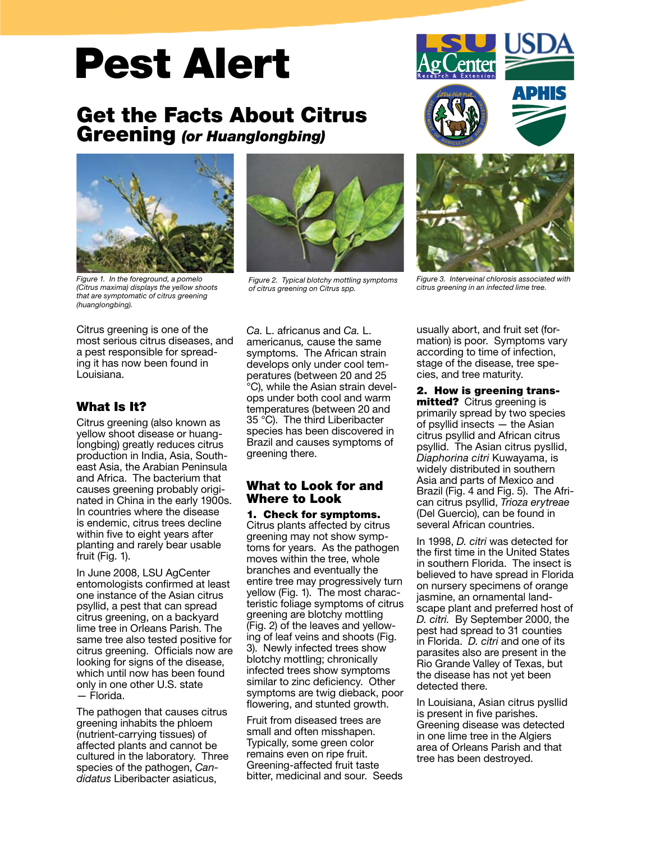# Pest Alert

# Get the Facts About Citrus Greening *(or Huanglongbing)*



*Figure 1. In the foreground, a pomelo (Citrus maxima) displays the yellow shoots that are symptomatic of citrus greening (huanglongbing).*

Citrus greening is one of the most serious citrus diseases, and a pest responsible for spreading it has now been found in Louisiana.

# What Is It?

Citrus greening (also known as yellow shoot disease or huanglongbing) greatly reduces citrus production in India, Asia, Southeast Asia, the Arabian Peninsula and Africa. The bacterium that causes greening probably originated in China in the early 1900s. In countries where the disease is endemic, citrus trees decline within five to eight years after planting and rarely bear usable fruit (Fig. 1).

In June 2008, LSU AgCenter entomologists confirmed at least one instance of the Asian citrus psyllid, a pest that can spread citrus greening, on a backyard lime tree in Orleans Parish. The same tree also tested positive for citrus greening. Officials now are looking for signs of the disease. which until now has been found only in one other U.S. state — Florida.

The pathogen that causes citrus greening inhabits the phloem (nutrient-carrying tissues) of affected plants and cannot be cultured in the laboratory. Three species of the pathogen, *Candidatus* Liberibacter asiaticus,



*Figure 2. Typical blotchy mottling symptoms of citrus greening on Citrus spp.*

*Ca.* L. africanus and *Ca.* L. americanus*,* cause the same symptoms. The African strain develops only under cool temperatures (between 20 and 25 °C), while the Asian strain develops under both cool and warm temperatures (between 20 and 35 °C). The third Liberibacter species has been discovered in Brazil and causes symptoms of greening there.

# What to Look for and Where to Look

1. Check for symptoms. Citrus plants affected by citrus greening may not show symptoms for years. As the pathogen moves within the tree, whole branches and eventually the entire tree may progressively turn yellow (Fig. 1). The most characteristic foliage symptoms of citrus greening are blotchy mottling (Fig. 2) of the leaves and yellowing of leaf veins and shoots (Fig. 3). Newly infected trees show blotchy mottling; chronically infected trees show symptoms similar to zinc deficiency. Other symptoms are twig dieback, poor flowering, and stunted growth.

Fruit from diseased trees are small and often misshapen. Typically, some green color remains even on ripe fruit. Greening-affected fruit taste bitter, medicinal and sour. Seeds





*Figure 3. Interveinal chlorosis associated with citrus greening in an infected lime tree.*

usually abort, and fruit set (formation) is poor. Symptoms vary according to time of infection, stage of the disease, tree species, and tree maturity.

2. How is greening transmitted? Citrus greening is primarily spread by two species of psyllid insects — the Asian citrus psyllid and African citrus psyllid. The Asian citrus pysllid, *Diaphorina citri* Kuwayama, is widely distributed in southern Asia and parts of Mexico and Brazil (Fig. 4 and Fig. 5). The African citrus psyllid, *Trioza erytreae* (Del Guercio), can be found in several African countries.

In 1998, *D. citri* was detected for the first time in the United States in southern Florida. The insect is believed to have spread in Florida on nursery specimens of orange jasmine, an ornamental landscape plant and preferred host of *D. citri.* By September 2000, the pest had spread to 31 counties in Florida. *D. citri* and one of its parasites also are present in the Rio Grande Valley of Texas, but the disease has not yet been detected there.

In Louisiana, Asian citrus pysllid is present in five parishes. Greening disease was detected in one lime tree in the Algiers area of Orleans Parish and that tree has been destroyed.